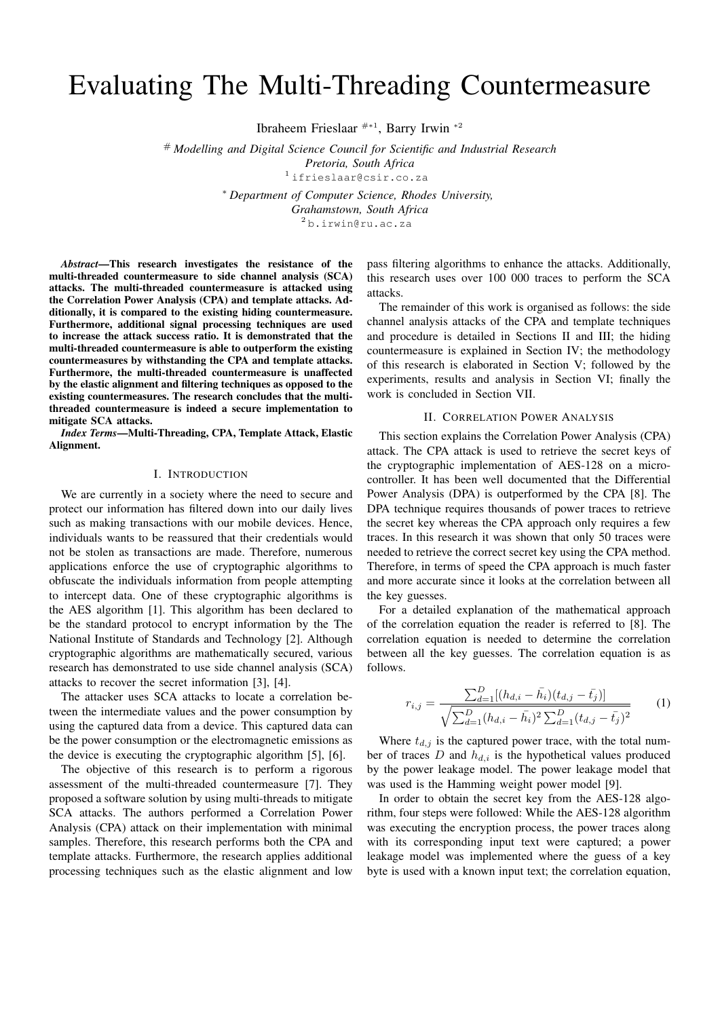# Evaluating The Multi-Threading Countermeasure

Ibraheem Frieslaar #∗<sup>1</sup> , Barry Irwin <sup>∗</sup><sup>2</sup>

# *Modelling and Digital Science Council for Scientific and Industrial Research Pretoria, South Africa* <sup>1</sup> ifrieslaar@csir.co.za <sup>∗</sup> *Department of Computer Science, Rhodes University, Grahamstown, South Africa*

<sup>2</sup> b.irwin@ru.ac.za

*Abstract*—This research investigates the resistance of the multi-threaded countermeasure to side channel analysis (SCA) attacks. The multi-threaded countermeasure is attacked using the Correlation Power Analysis (CPA) and template attacks. Additionally, it is compared to the existing hiding countermeasure. Furthermore, additional signal processing techniques are used to increase the attack success ratio. It is demonstrated that the multi-threaded countermeasure is able to outperform the existing countermeasures by withstanding the CPA and template attacks. Furthermore, the multi-threaded countermeasure is unaffected by the elastic alignment and filtering techniques as opposed to the existing countermeasures. The research concludes that the multithreaded countermeasure is indeed a secure implementation to mitigate SCA attacks.

*Index Terms*—Multi-Threading, CPA, Template Attack, Elastic Alignment.

#### I. INTRODUCTION

We are currently in a society where the need to secure and protect our information has filtered down into our daily lives such as making transactions with our mobile devices. Hence, individuals wants to be reassured that their credentials would not be stolen as transactions are made. Therefore, numerous applications enforce the use of cryptographic algorithms to obfuscate the individuals information from people attempting to intercept data. One of these cryptographic algorithms is the AES algorithm [1]. This algorithm has been declared to be the standard protocol to encrypt information by the The National Institute of Standards and Technology [2]. Although cryptographic algorithms are mathematically secured, various research has demonstrated to use side channel analysis (SCA) attacks to recover the secret information [3], [4].

The attacker uses SCA attacks to locate a correlation between the intermediate values and the power consumption by using the captured data from a device. This captured data can be the power consumption or the electromagnetic emissions as the device is executing the cryptographic algorithm [5], [6].

The objective of this research is to perform a rigorous assessment of the multi-threaded countermeasure [7]. They proposed a software solution by using multi-threads to mitigate SCA attacks. The authors performed a Correlation Power Analysis (CPA) attack on their implementation with minimal samples. Therefore, this research performs both the CPA and template attacks. Furthermore, the research applies additional processing techniques such as the elastic alignment and low

pass filtering algorithms to enhance the attacks. Additionally, this research uses over 100 000 traces to perform the SCA attacks.

The remainder of this work is organised as follows: the side channel analysis attacks of the CPA and template techniques and procedure is detailed in Sections II and III; the hiding countermeasure is explained in Section IV; the methodology of this research is elaborated in Section V; followed by the experiments, results and analysis in Section VI; finally the work is concluded in Section VII.

#### II. CORRELATION POWER ANALYSIS

This section explains the Correlation Power Analysis (CPA) attack. The CPA attack is used to retrieve the secret keys of the cryptographic implementation of AES-128 on a microcontroller. It has been well documented that the Differential Power Analysis (DPA) is outperformed by the CPA [8]. The DPA technique requires thousands of power traces to retrieve the secret key whereas the CPA approach only requires a few traces. In this research it was shown that only 50 traces were needed to retrieve the correct secret key using the CPA method. Therefore, in terms of speed the CPA approach is much faster and more accurate since it looks at the correlation between all the key guesses.

For a detailed explanation of the mathematical approach of the correlation equation the reader is referred to [8]. The correlation equation is needed to determine the correlation between all the key guesses. The correlation equation is as follows.

$$
r_{i,j} = \frac{\sum_{d=1}^{D} [(h_{d,i} - \bar{h_i})(t_{d,j} - \bar{t_j})]}{\sqrt{\sum_{d=1}^{D} (h_{d,i} - \bar{h_i})^2 \sum_{d=1}^{D} (t_{d,j} - \bar{t_j})^2}}
$$
(1)

Where  $t_{d,j}$  is the captured power trace, with the total number of traces  $D$  and  $h_{d,i}$  is the hypothetical values produced by the power leakage model. The power leakage model that was used is the Hamming weight power model [9].

In order to obtain the secret key from the AES-128 algorithm, four steps were followed: While the AES-128 algorithm was executing the encryption process, the power traces along with its corresponding input text were captured; a power leakage model was implemented where the guess of a key byte is used with a known input text; the correlation equation,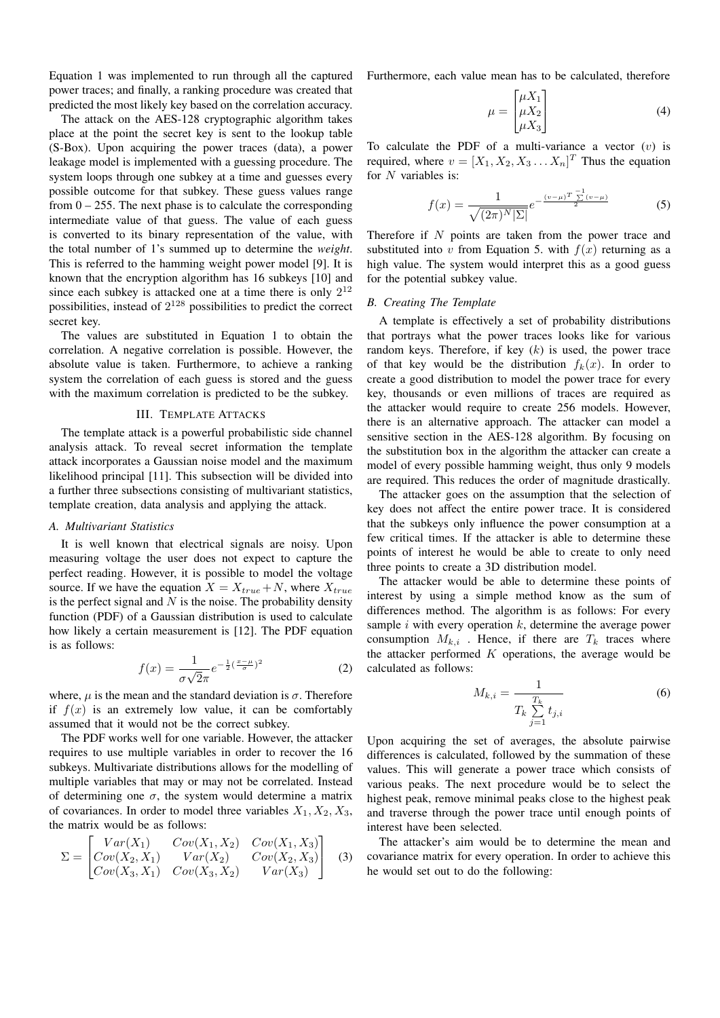Equation 1 was implemented to run through all the captured power traces; and finally, a ranking procedure was created that predicted the most likely key based on the correlation accuracy.

The attack on the AES-128 cryptographic algorithm takes place at the point the secret key is sent to the lookup table (S-Box). Upon acquiring the power traces (data), a power leakage model is implemented with a guessing procedure. The system loops through one subkey at a time and guesses every possible outcome for that subkey. These guess values range from  $0 - 255$ . The next phase is to calculate the corresponding intermediate value of that guess. The value of each guess is converted to its binary representation of the value, with the total number of 1's summed up to determine the *weight*. This is referred to the hamming weight power model [9]. It is known that the encryption algorithm has 16 subkeys [10] and since each subkey is attacked one at a time there is only  $2^{12}$ possibilities, instead of  $2^{128}$  possibilities to predict the correct secret key.

The values are substituted in Equation 1 to obtain the correlation. A negative correlation is possible. However, the absolute value is taken. Furthermore, to achieve a ranking system the correlation of each guess is stored and the guess with the maximum correlation is predicted to be the subkey.

## III. TEMPLATE ATTACKS

The template attack is a powerful probabilistic side channel analysis attack. To reveal secret information the template attack incorporates a Gaussian noise model and the maximum likelihood principal [11]. This subsection will be divided into a further three subsections consisting of multivariant statistics, template creation, data analysis and applying the attack.

#### *A. Multivariant Statistics*

It is well known that electrical signals are noisy. Upon measuring voltage the user does not expect to capture the perfect reading. However, it is possible to model the voltage source. If we have the equation  $X = X_{true} + N$ , where  $X_{true}$ is the perfect signal and  $N$  is the noise. The probability density function (PDF) of a Gaussian distribution is used to calculate how likely a certain measurement is [12]. The PDF equation is as follows:

$$
f(x) = \frac{1}{\sigma\sqrt{2\pi}}e^{-\frac{1}{2}(\frac{x-\mu}{\sigma})^2}
$$
 (2)

where,  $\mu$  is the mean and the standard deviation is  $\sigma$ . Therefore if  $f(x)$  is an extremely low value, it can be comfortably assumed that it would not be the correct subkey.

The PDF works well for one variable. However, the attacker requires to use multiple variables in order to recover the 16 subkeys. Multivariate distributions allows for the modelling of multiple variables that may or may not be correlated. Instead of determining one  $\sigma$ , the system would determine a matrix of covariances. In order to model three variables  $X_1, X_2, X_3$ , the matrix would be as follows:

$$
\Sigma = \begin{bmatrix} Var(X_1) & Cov(X_1, X_2) & Cov(X_1, X_3) \\ Cov(X_2, X_1) & Var(X_2) & Cov(X_2, X_3) \\ Cov(X_3, X_1) & Cov(X_3, X_2) & Var(X_3) \end{bmatrix}
$$
(3)

Furthermore, each value mean has to be calculated, therefore

$$
\mu = \begin{bmatrix} \mu X_1 \\ \mu X_2 \\ \mu X_3 \end{bmatrix} \tag{4}
$$

To calculate the PDF of a multi-variance a vector  $(v)$  is required, where  $v = [X_1, X_2, X_3 \dots X_n]^T$  Thus the equation for  $N$  variables is:

$$
f(x) = \frac{1}{\sqrt{(2\pi)^N |\Sigma|}} e^{-\frac{(v-\mu)^T \sum_{j=1}^{T} (v-\mu)}{2}} \tag{5}
$$

Therefore if  $N$  points are taken from the power trace and substituted into v from Equation 5. with  $f(x)$  returning as a high value. The system would interpret this as a good guess for the potential subkey value.

# *B. Creating The Template*

A template is effectively a set of probability distributions that portrays what the power traces looks like for various random keys. Therefore, if key  $(k)$  is used, the power trace of that key would be the distribution  $f_k(x)$ . In order to create a good distribution to model the power trace for every key, thousands or even millions of traces are required as the attacker would require to create 256 models. However, there is an alternative approach. The attacker can model a sensitive section in the AES-128 algorithm. By focusing on the substitution box in the algorithm the attacker can create a model of every possible hamming weight, thus only 9 models are required. This reduces the order of magnitude drastically.

The attacker goes on the assumption that the selection of key does not affect the entire power trace. It is considered that the subkeys only influence the power consumption at a few critical times. If the attacker is able to determine these points of interest he would be able to create to only need three points to create a 3D distribution model.

The attacker would be able to determine these points of interest by using a simple method know as the sum of differences method. The algorithm is as follows: For every sample  $i$  with every operation  $k$ , determine the average power consumption  $M_{k,i}$ . Hence, if there are  $T_k$  traces where the attacker performed  $K$  operations, the average would be calculated as follows:

$$
M_{k,i} = \frac{1}{T_k \sum_{j=1}^{T_k} t_{j,i}}\tag{6}
$$

Upon acquiring the set of averages, the absolute pairwise differences is calculated, followed by the summation of these values. This will generate a power trace which consists of various peaks. The next procedure would be to select the highest peak, remove minimal peaks close to the highest peak and traverse through the power trace until enough points of interest have been selected.

The attacker's aim would be to determine the mean and covariance matrix for every operation. In order to achieve this he would set out to do the following: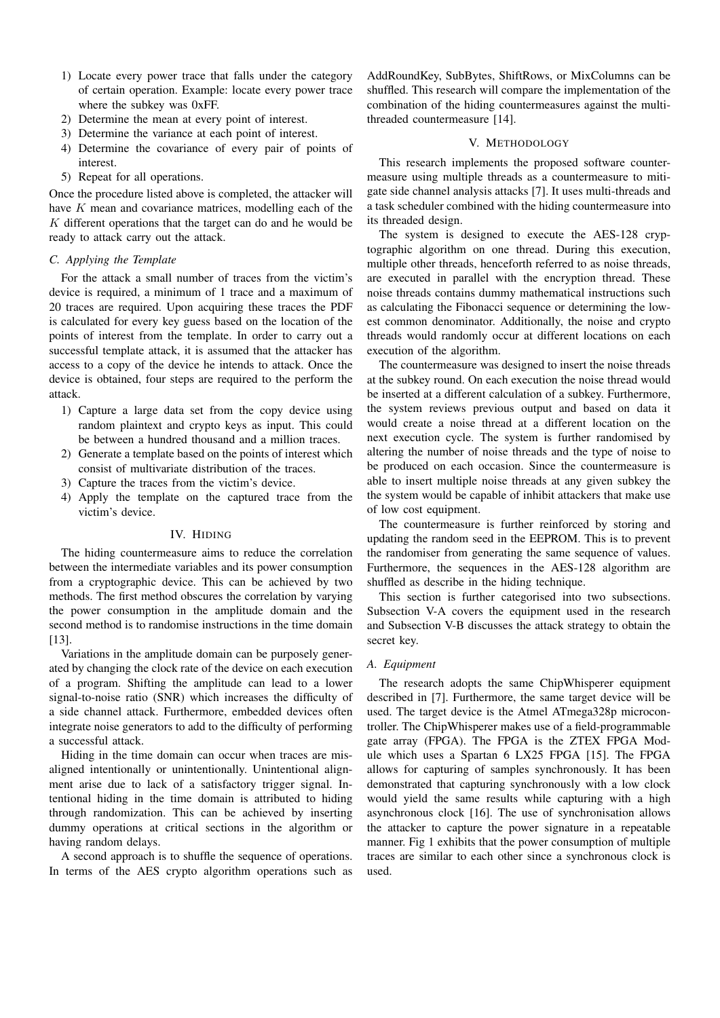- 1) Locate every power trace that falls under the category of certain operation. Example: locate every power trace where the subkey was 0xFF.
- 2) Determine the mean at every point of interest.
- 3) Determine the variance at each point of interest.
- 4) Determine the covariance of every pair of points of interest.
- 5) Repeat for all operations.

Once the procedure listed above is completed, the attacker will have K mean and covariance matrices, modelling each of the  $K$  different operations that the target can do and he would be ready to attack carry out the attack.

# *C. Applying the Template*

For the attack a small number of traces from the victim's device is required, a minimum of 1 trace and a maximum of 20 traces are required. Upon acquiring these traces the PDF is calculated for every key guess based on the location of the points of interest from the template. In order to carry out a successful template attack, it is assumed that the attacker has access to a copy of the device he intends to attack. Once the device is obtained, four steps are required to the perform the attack.

- 1) Capture a large data set from the copy device using random plaintext and crypto keys as input. This could be between a hundred thousand and a million traces.
- 2) Generate a template based on the points of interest which consist of multivariate distribution of the traces.
- 3) Capture the traces from the victim's device.
- 4) Apply the template on the captured trace from the victim's device.

## IV. HIDING

The hiding countermeasure aims to reduce the correlation between the intermediate variables and its power consumption from a cryptographic device. This can be achieved by two methods. The first method obscures the correlation by varying the power consumption in the amplitude domain and the second method is to randomise instructions in the time domain [13].

Variations in the amplitude domain can be purposely generated by changing the clock rate of the device on each execution of a program. Shifting the amplitude can lead to a lower signal-to-noise ratio (SNR) which increases the difficulty of a side channel attack. Furthermore, embedded devices often integrate noise generators to add to the difficulty of performing a successful attack.

Hiding in the time domain can occur when traces are misaligned intentionally or unintentionally. Unintentional alignment arise due to lack of a satisfactory trigger signal. Intentional hiding in the time domain is attributed to hiding through randomization. This can be achieved by inserting dummy operations at critical sections in the algorithm or having random delays.

A second approach is to shuffle the sequence of operations. In terms of the AES crypto algorithm operations such as AddRoundKey, SubBytes, ShiftRows, or MixColumns can be shuffled. This research will compare the implementation of the combination of the hiding countermeasures against the multithreaded countermeasure [14].

## V. METHODOLOGY

This research implements the proposed software countermeasure using multiple threads as a countermeasure to mitigate side channel analysis attacks [7]. It uses multi-threads and a task scheduler combined with the hiding countermeasure into its threaded design.

The system is designed to execute the AES-128 cryptographic algorithm on one thread. During this execution, multiple other threads, henceforth referred to as noise threads, are executed in parallel with the encryption thread. These noise threads contains dummy mathematical instructions such as calculating the Fibonacci sequence or determining the lowest common denominator. Additionally, the noise and crypto threads would randomly occur at different locations on each execution of the algorithm.

The countermeasure was designed to insert the noise threads at the subkey round. On each execution the noise thread would be inserted at a different calculation of a subkey. Furthermore, the system reviews previous output and based on data it would create a noise thread at a different location on the next execution cycle. The system is further randomised by altering the number of noise threads and the type of noise to be produced on each occasion. Since the countermeasure is able to insert multiple noise threads at any given subkey the the system would be capable of inhibit attackers that make use of low cost equipment.

The countermeasure is further reinforced by storing and updating the random seed in the EEPROM. This is to prevent the randomiser from generating the same sequence of values. Furthermore, the sequences in the AES-128 algorithm are shuffled as describe in the hiding technique.

This section is further categorised into two subsections. Subsection V-A covers the equipment used in the research and Subsection V-B discusses the attack strategy to obtain the secret key.

# *A. Equipment*

The research adopts the same ChipWhisperer equipment described in [7]. Furthermore, the same target device will be used. The target device is the Atmel ATmega328p microcontroller. The ChipWhisperer makes use of a field-programmable gate array (FPGA). The FPGA is the ZTEX FPGA Module which uses a Spartan 6 LX25 FPGA [15]. The FPGA allows for capturing of samples synchronously. It has been demonstrated that capturing synchronously with a low clock would yield the same results while capturing with a high asynchronous clock [16]. The use of synchronisation allows the attacker to capture the power signature in a repeatable manner. Fig 1 exhibits that the power consumption of multiple traces are similar to each other since a synchronous clock is used.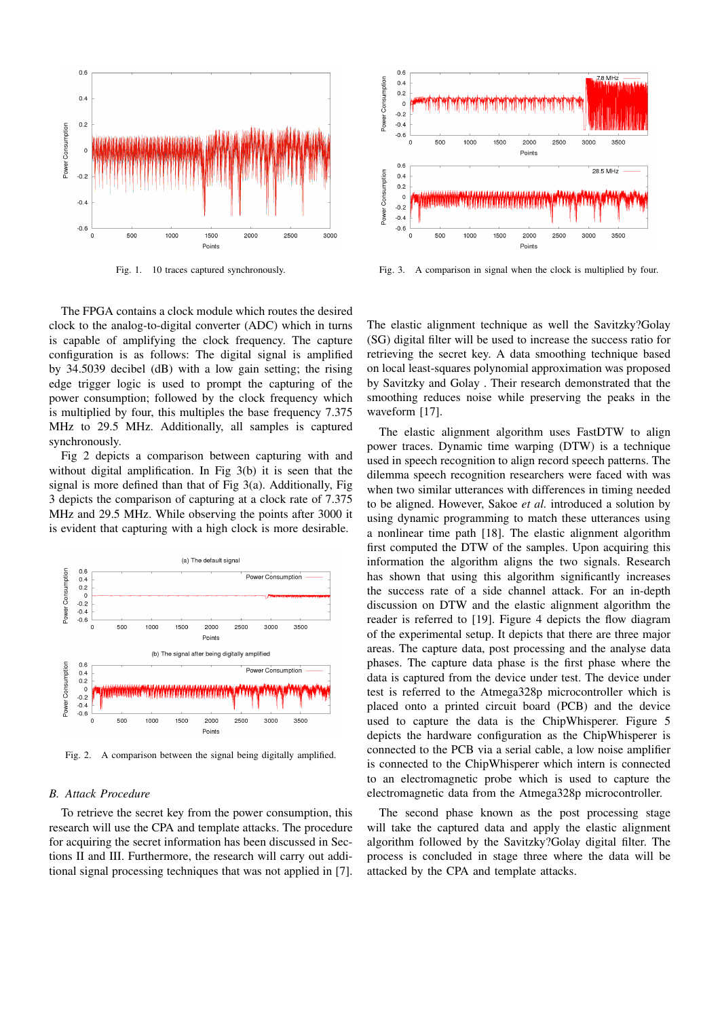

Fig. 1. 10 traces captured synchronously.

The FPGA contains a clock module which routes the desired clock to the analog-to-digital converter (ADC) which in turns is capable of amplifying the clock frequency. The capture configuration is as follows: The digital signal is amplified by 34.5039 decibel (dB) with a low gain setting; the rising edge trigger logic is used to prompt the capturing of the power consumption; followed by the clock frequency which is multiplied by four, this multiples the base frequency 7.375 MHz to 29.5 MHz. Additionally, all samples is captured synchronously.

Fig 2 depicts a comparison between capturing with and without digital amplification. In Fig 3(b) it is seen that the signal is more defined than that of Fig 3(a). Additionally, Fig 3 depicts the comparison of capturing at a clock rate of 7.375 MHz and 29.5 MHz. While observing the points after 3000 it is evident that capturing with a high clock is more desirable.



Fig. 2. A comparison between the signal being digitally amplified.

# *B. Attack Procedure*

To retrieve the secret key from the power consumption, this research will use the CPA and template attacks. The procedure for acquiring the secret information has been discussed in Sections II and III. Furthermore, the research will carry out additional signal processing techniques that was not applied in [7].



Fig. 3. A comparison in signal when the clock is multiplied by four.

The elastic alignment technique as well the Savitzky?Golay (SG) digital filter will be used to increase the success ratio for retrieving the secret key. A data smoothing technique based on local least-squares polynomial approximation was proposed by Savitzky and Golay . Their research demonstrated that the smoothing reduces noise while preserving the peaks in the waveform [17].

The elastic alignment algorithm uses FastDTW to align power traces. Dynamic time warping (DTW) is a technique used in speech recognition to align record speech patterns. The dilemma speech recognition researchers were faced with was when two similar utterances with differences in timing needed to be aligned. However, Sakoe *et al.* introduced a solution by using dynamic programming to match these utterances using a nonlinear time path [18]. The elastic alignment algorithm first computed the DTW of the samples. Upon acquiring this information the algorithm aligns the two signals. Research has shown that using this algorithm significantly increases the success rate of a side channel attack. For an in-depth discussion on DTW and the elastic alignment algorithm the reader is referred to [19]. Figure 4 depicts the flow diagram of the experimental setup. It depicts that there are three major areas. The capture data, post processing and the analyse data phases. The capture data phase is the first phase where the data is captured from the device under test. The device under test is referred to the Atmega328p microcontroller which is placed onto a printed circuit board (PCB) and the device used to capture the data is the ChipWhisperer. Figure 5 depicts the hardware configuration as the ChipWhisperer is connected to the PCB via a serial cable, a low noise amplifier is connected to the ChipWhisperer which intern is connected to an electromagnetic probe which is used to capture the electromagnetic data from the Atmega328p microcontroller.

The second phase known as the post processing stage will take the captured data and apply the elastic alignment algorithm followed by the Savitzky?Golay digital filter. The process is concluded in stage three where the data will be attacked by the CPA and template attacks.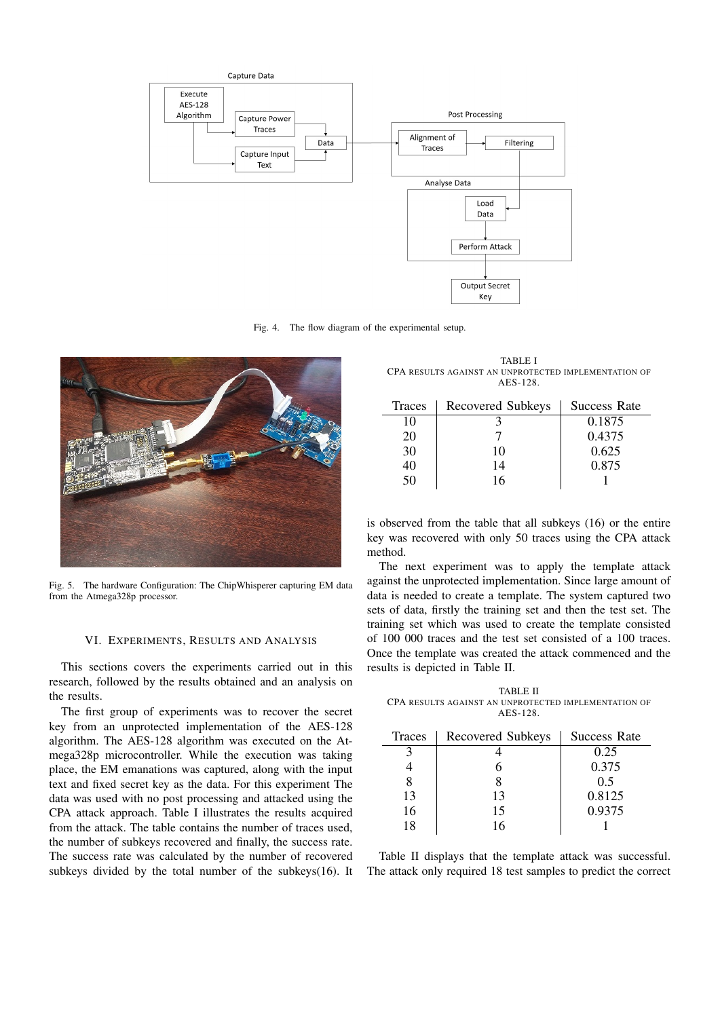

Fig. 4. The flow diagram of the experimental setup.



Fig. 5. The hardware Configuration: The ChipWhisperer capturing EM data from the Atmega328p processor.

## VI. EXPERIMENTS, RESULTS AND ANALYSIS

This sections covers the experiments carried out in this research, followed by the results obtained and an analysis on the results.

The first group of experiments was to recover the secret key from an unprotected implementation of the AES-128 algorithm. The AES-128 algorithm was executed on the Atmega328p microcontroller. While the execution was taking place, the EM emanations was captured, along with the input text and fixed secret key as the data. For this experiment The data was used with no post processing and attacked using the CPA attack approach. Table I illustrates the results acquired from the attack. The table contains the number of traces used, the number of subkeys recovered and finally, the success rate. The success rate was calculated by the number of recovered subkeys divided by the total number of the subkeys(16). It

TABLE I CPA RESULTS AGAINST AN UNPROTECTED IMPLEMENTATION OF AES-128.

| Traces | Recovered Subkeys | <b>Success Rate</b> |
|--------|-------------------|---------------------|
| 10     |                   | 0.1875              |
| 20     |                   | 0.4375              |
| 30     | 10                | 0.625               |
| 40     | 14                | 0.875               |
| 50     | 16                |                     |

is observed from the table that all subkeys (16) or the entire key was recovered with only 50 traces using the CPA attack method.

The next experiment was to apply the template attack against the unprotected implementation. Since large amount of data is needed to create a template. The system captured two sets of data, firstly the training set and then the test set. The training set which was used to create the template consisted of 100 000 traces and the test set consisted of a 100 traces. Once the template was created the attack commenced and the results is depicted in Table II.

TABLE II CPA RESULTS AGAINST AN UNPROTECTED IMPLEMENTATION OF AES-128.

| Traces | Recovered Subkeys | Success Rate |
|--------|-------------------|--------------|
|        |                   | 0.25         |
|        |                   | 0.375        |
|        |                   | 0.5          |
| 13     | 13                | 0.8125       |
| 16     | 15                | 0.9375       |
| 18     | 16                |              |

Table II displays that the template attack was successful. The attack only required 18 test samples to predict the correct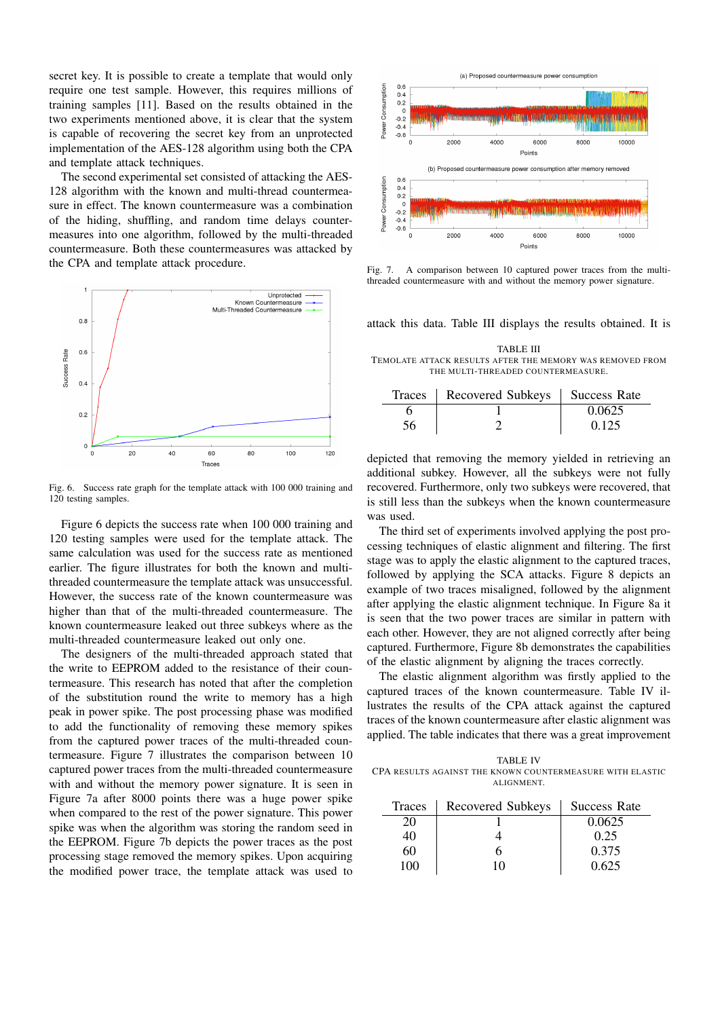secret key. It is possible to create a template that would only require one test sample. However, this requires millions of training samples [11]. Based on the results obtained in the two experiments mentioned above, it is clear that the system is capable of recovering the secret key from an unprotected implementation of the AES-128 algorithm using both the CPA and template attack techniques.

The second experimental set consisted of attacking the AES-128 algorithm with the known and multi-thread countermeasure in effect. The known countermeasure was a combination of the hiding, shuffling, and random time delays countermeasures into one algorithm, followed by the multi-threaded countermeasure. Both these countermeasures was attacked by the CPA and template attack procedure.



Fig. 6. Success rate graph for the template attack with 100 000 training and 120 testing samples.

Figure 6 depicts the success rate when 100 000 training and 120 testing samples were used for the template attack. The same calculation was used for the success rate as mentioned earlier. The figure illustrates for both the known and multithreaded countermeasure the template attack was unsuccessful. However, the success rate of the known countermeasure was higher than that of the multi-threaded countermeasure. The known countermeasure leaked out three subkeys where as the multi-threaded countermeasure leaked out only one.

The designers of the multi-threaded approach stated that the write to EEPROM added to the resistance of their countermeasure. This research has noted that after the completion of the substitution round the write to memory has a high peak in power spike. The post processing phase was modified to add the functionality of removing these memory spikes from the captured power traces of the multi-threaded countermeasure. Figure 7 illustrates the comparison between 10 captured power traces from the multi-threaded countermeasure with and without the memory power signature. It is seen in Figure 7a after 8000 points there was a huge power spike when compared to the rest of the power signature. This power spike was when the algorithm was storing the random seed in the EEPROM. Figure 7b depicts the power traces as the post processing stage removed the memory spikes. Upon acquiring the modified power trace, the template attack was used to



Fig. 7. A comparison between 10 captured power traces from the multithreaded countermeasure with and without the memory power signature.

attack this data. Table III displays the results obtained. It is

TABLE III TEMOLATE ATTACK RESULTS AFTER THE MEMORY WAS REMOVED FROM THE MULTI-THREADED COUNTERMEASURE.

| Traces | Recovered Subkeys   Success Rate |        |
|--------|----------------------------------|--------|
|        |                                  | 0.0625 |
| 56     |                                  | 0.125  |

depicted that removing the memory yielded in retrieving an additional subkey. However, all the subkeys were not fully recovered. Furthermore, only two subkeys were recovered, that is still less than the subkeys when the known countermeasure was used.

The third set of experiments involved applying the post processing techniques of elastic alignment and filtering. The first stage was to apply the elastic alignment to the captured traces, followed by applying the SCA attacks. Figure 8 depicts an example of two traces misaligned, followed by the alignment after applying the elastic alignment technique. In Figure 8a it is seen that the two power traces are similar in pattern with each other. However, they are not aligned correctly after being captured. Furthermore, Figure 8b demonstrates the capabilities of the elastic alignment by aligning the traces correctly.

The elastic alignment algorithm was firstly applied to the captured traces of the known countermeasure. Table IV illustrates the results of the CPA attack against the captured traces of the known countermeasure after elastic alignment was applied. The table indicates that there was a great improvement

TABLE IV CPA RESULTS AGAINST THE KNOWN COUNTERMEASURE WITH ELASTIC ALIGNMENT.

| Traces | Recovered Subkeys | Success Rate |
|--------|-------------------|--------------|
|        |                   | 0.0625       |
| 40     |                   | 0.25         |
| 60     |                   | 0.375        |
| 100    |                   | 0.625        |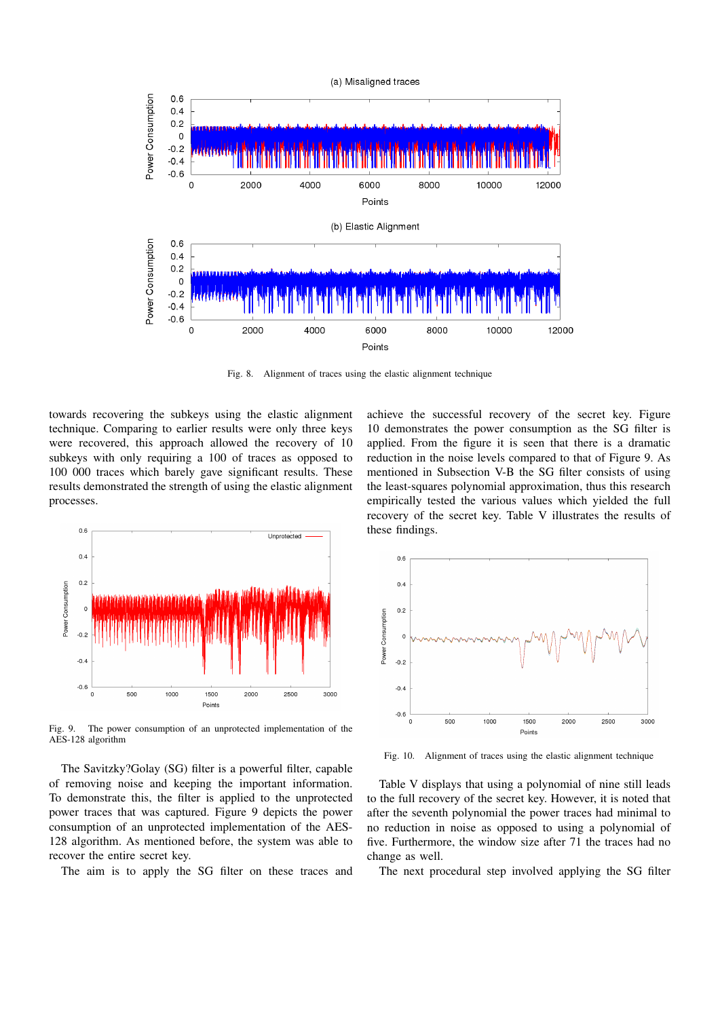

Fig. 8. Alignment of traces using the elastic alignment technique

towards recovering the subkeys using the elastic alignment technique. Comparing to earlier results were only three keys were recovered, this approach allowed the recovery of 10 subkeys with only requiring a 100 of traces as opposed to 100 000 traces which barely gave significant results. These results demonstrated the strength of using the elastic alignment processes.



Fig. 9. The power consumption of an unprotected implementation of the AES-128 algorithm

The Savitzky?Golay (SG) filter is a powerful filter, capable of removing noise and keeping the important information. To demonstrate this, the filter is applied to the unprotected power traces that was captured. Figure 9 depicts the power consumption of an unprotected implementation of the AES-128 algorithm. As mentioned before, the system was able to recover the entire secret key.

The aim is to apply the SG filter on these traces and

achieve the successful recovery of the secret key. Figure 10 demonstrates the power consumption as the SG filter is applied. From the figure it is seen that there is a dramatic reduction in the noise levels compared to that of Figure 9. As mentioned in Subsection V-B the SG filter consists of using the least-squares polynomial approximation, thus this research empirically tested the various values which yielded the full recovery of the secret key. Table V illustrates the results of these findings.



Fig. 10. Alignment of traces using the elastic alignment technique

Table V displays that using a polynomial of nine still leads to the full recovery of the secret key. However, it is noted that after the seventh polynomial the power traces had minimal to no reduction in noise as opposed to using a polynomial of five. Furthermore, the window size after 71 the traces had no change as well.

The next procedural step involved applying the SG filter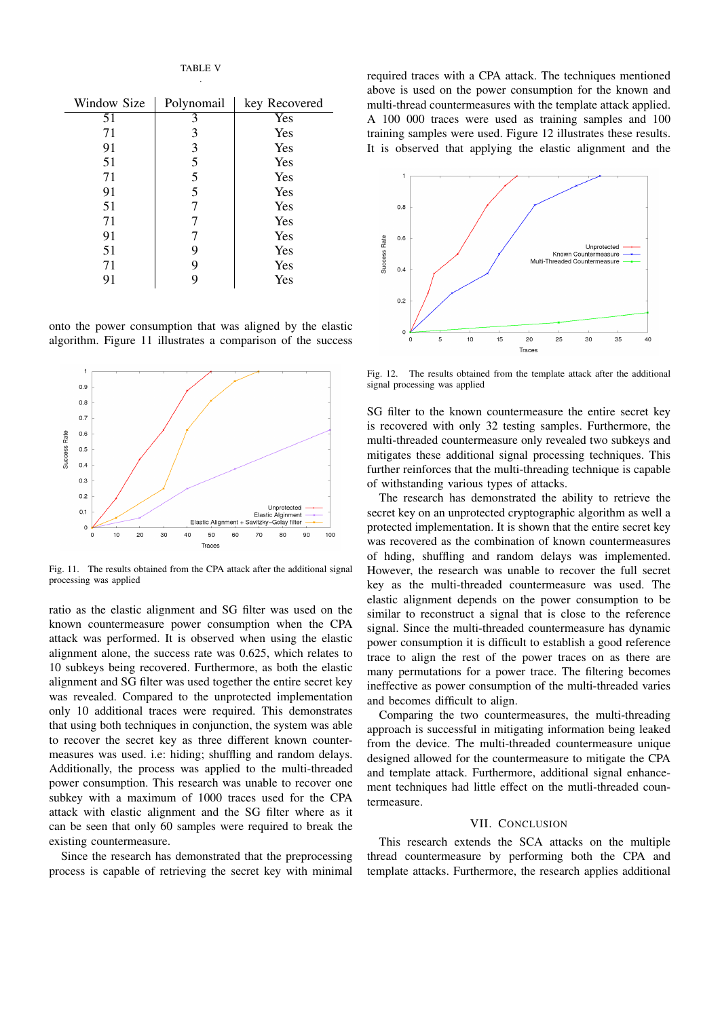TABLE V .

| Window Size | Polynomail | key Recovered |
|-------------|------------|---------------|
| 51          | 3          | Yes           |
| 71          | 3          | Yes           |
| 91          | 3          | Yes           |
| 51          | 5          | Yes           |
| 71          | 5          | Yes           |
| 91          | 5          | Yes           |
| 51          | 7          | Yes           |
| 71          |            | Yes           |
| 91          |            | Yes           |
| 51          | 9          | Yes           |
| 71          | 9          | Yes           |
| 91          | 9          | Yes           |

onto the power consumption that was aligned by the elastic algorithm. Figure 11 illustrates a comparison of the success



Fig. 11. The results obtained from the CPA attack after the additional signal processing was applied

ratio as the elastic alignment and SG filter was used on the known countermeasure power consumption when the CPA attack was performed. It is observed when using the elastic alignment alone, the success rate was 0.625, which relates to 10 subkeys being recovered. Furthermore, as both the elastic alignment and SG filter was used together the entire secret key was revealed. Compared to the unprotected implementation only 10 additional traces were required. This demonstrates that using both techniques in conjunction, the system was able to recover the secret key as three different known countermeasures was used. i.e: hiding; shuffling and random delays. Additionally, the process was applied to the multi-threaded power consumption. This research was unable to recover one subkey with a maximum of 1000 traces used for the CPA attack with elastic alignment and the SG filter where as it can be seen that only 60 samples were required to break the existing countermeasure.

Since the research has demonstrated that the preprocessing process is capable of retrieving the secret key with minimal

required traces with a CPA attack. The techniques mentioned above is used on the power consumption for the known and multi-thread countermeasures with the template attack applied. A 100 000 traces were used as training samples and 100 training samples were used. Figure 12 illustrates these results. It is observed that applying the elastic alignment and the



Fig. 12. The results obtained from the template attack after the additional signal processing was applied

SG filter to the known countermeasure the entire secret key is recovered with only 32 testing samples. Furthermore, the multi-threaded countermeasure only revealed two subkeys and mitigates these additional signal processing techniques. This further reinforces that the multi-threading technique is capable of withstanding various types of attacks.

The research has demonstrated the ability to retrieve the secret key on an unprotected cryptographic algorithm as well a protected implementation. It is shown that the entire secret key was recovered as the combination of known countermeasures of hding, shuffling and random delays was implemented. However, the research was unable to recover the full secret key as the multi-threaded countermeasure was used. The elastic alignment depends on the power consumption to be similar to reconstruct a signal that is close to the reference signal. Since the multi-threaded countermeasure has dynamic power consumption it is difficult to establish a good reference trace to align the rest of the power traces on as there are many permutations for a power trace. The filtering becomes ineffective as power consumption of the multi-threaded varies and becomes difficult to align.

Comparing the two countermeasures, the multi-threading approach is successful in mitigating information being leaked from the device. The multi-threaded countermeasure unique designed allowed for the countermeasure to mitigate the CPA and template attack. Furthermore, additional signal enhancement techniques had little effect on the mutli-threaded countermeasure.

#### VII. CONCLUSION

This research extends the SCA attacks on the multiple thread countermeasure by performing both the CPA and template attacks. Furthermore, the research applies additional